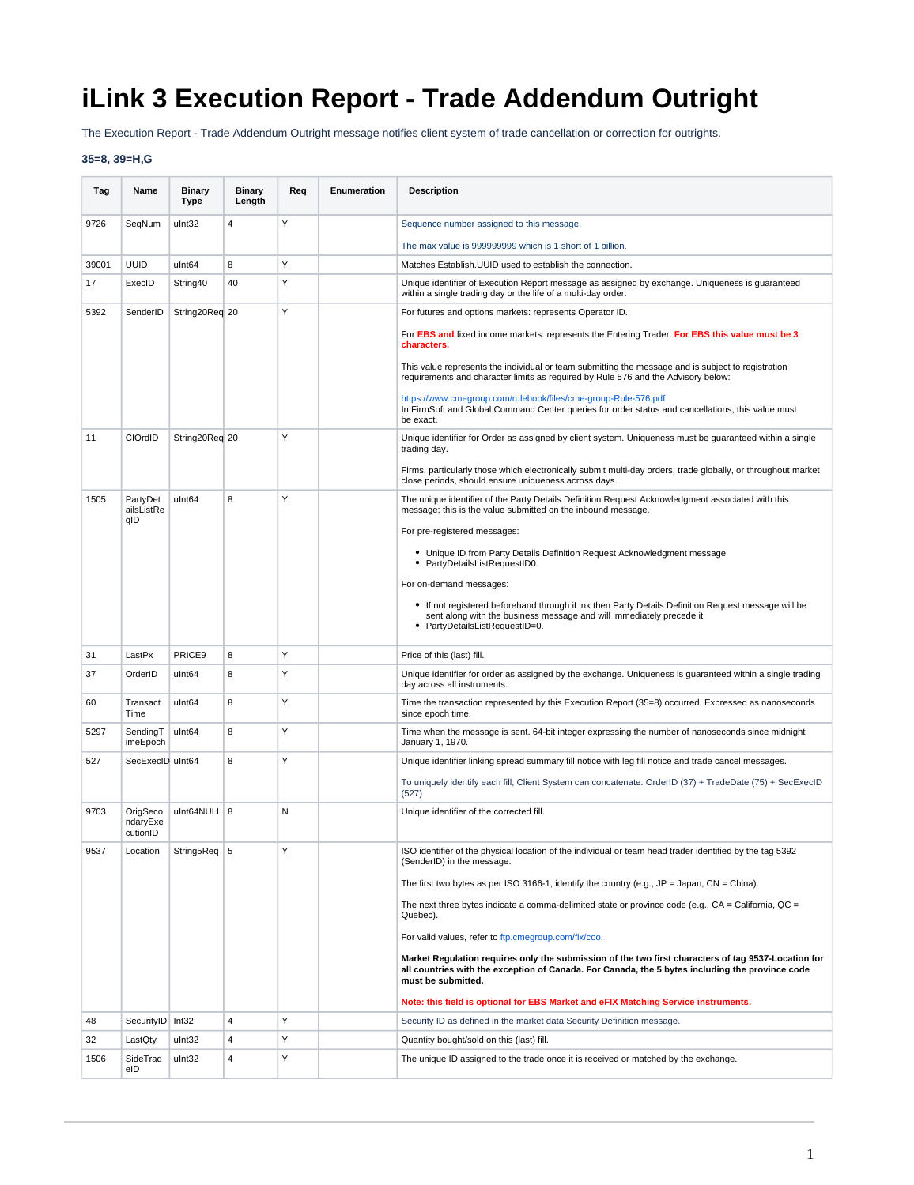## **iLink 3 Execution Report - Trade Addendum Outright**

The Execution Report - Trade Addendum Outright message notifies client system of trade cancellation or correction for outrights.

## **35=8, 39=H,G**

| Tag   | Name                             | <b>Binary</b><br><b>Type</b> | <b>Binary</b><br>Length | Req | Enumeration | <b>Description</b>                                                                                                                                                                                                           |
|-------|----------------------------------|------------------------------|-------------------------|-----|-------------|------------------------------------------------------------------------------------------------------------------------------------------------------------------------------------------------------------------------------|
| 9726  | SeqNum                           | ulnt32                       | $\overline{4}$          | Υ   |             | Sequence number assigned to this message.                                                                                                                                                                                    |
|       |                                  |                              |                         |     |             | The max value is 999999999 which is 1 short of 1 billion.                                                                                                                                                                    |
| 39001 | <b>UUID</b>                      | ulnt64                       | 8                       | Y   |             | Matches Establish. UUID used to establish the connection.                                                                                                                                                                    |
| 17    | ExecID                           | String40                     | 40                      | Υ   |             | Unique identifier of Execution Report message as assigned by exchange. Uniqueness is guaranteed<br>within a single trading day or the life of a multi-day order.                                                             |
| 5392  | SenderID                         | String20Req 20               |                         | Y   |             | For futures and options markets: represents Operator ID.                                                                                                                                                                     |
|       |                                  |                              |                         |     |             | For EBS and fixed income markets: represents the Entering Trader. For EBS this value must be 3<br>characters.                                                                                                                |
|       |                                  |                              |                         |     |             | This value represents the individual or team submitting the message and is subject to registration<br>requirements and character limits as required by Rule 576 and the Advisory below:                                      |
|       |                                  |                              |                         |     |             | https://www.cmegroup.com/rulebook/files/cme-group-Rule-576.pdf<br>In FirmSoft and Global Command Center queries for order status and cancellations, this value must<br>be exact.                                             |
| 11    | CIOrdID                          | String20Req 20               |                         | Y   |             | Unique identifier for Order as assigned by client system. Uniqueness must be guaranteed within a single<br>trading day.                                                                                                      |
|       |                                  |                              |                         |     |             | Firms, particularly those which electronically submit multi-day orders, trade globally, or throughout market<br>close periods, should ensure uniqueness across days.                                                         |
| 1505  | PartyDet<br>ailsListRe<br>qID    | ulnt64                       | 8                       | Y   |             | The unique identifier of the Party Details Definition Request Acknowledgment associated with this<br>message; this is the value submitted on the inbound message.                                                            |
|       |                                  |                              |                         |     |             | For pre-registered messages:                                                                                                                                                                                                 |
|       |                                  |                              |                         |     |             | • Unique ID from Party Details Definition Request Acknowledgment message<br>• PartyDetailsListRequestID0.                                                                                                                    |
|       |                                  |                              |                         |     |             | For on-demand messages:                                                                                                                                                                                                      |
|       |                                  |                              |                         |     |             | • If not registered beforehand through iLink then Party Details Definition Request message will be<br>sent along with the business message and will immediately precede it<br>• PartyDetailsListRequestID=0.                 |
| 31    | LastPx                           | PRICE <sub>9</sub>           | 8                       | Y   |             | Price of this (last) fill.                                                                                                                                                                                                   |
| 37    | OrderID                          | ulnt64                       | 8                       | Y   |             | Unique identifier for order as assigned by the exchange. Uniqueness is guaranteed within a single trading<br>day across all instruments.                                                                                     |
| 60    | Transact<br>Time                 | ulnt64                       | 8                       | Y   |             | Time the transaction represented by this Execution Report (35=8) occurred. Expressed as nanoseconds<br>since epoch time.                                                                                                     |
| 5297  | SendingT<br>imeEpoch             | ulnt64                       | 8                       | Y   |             | Time when the message is sent. 64-bit integer expressing the number of nanoseconds since midnight<br>January 1, 1970.                                                                                                        |
| 527   | SecExecID uInt64                 |                              | 8                       | Y   |             | Unique identifier linking spread summary fill notice with leg fill notice and trade cancel messages.                                                                                                                         |
|       |                                  |                              |                         |     |             | To uniquely identify each fill, Client System can concatenate: OrderID (37) + TradeDate (75) + SecExecID<br>(527)                                                                                                            |
| 9703  | OrigSeco<br>ndaryExe<br>cutionID | ulnt64NULL 8                 |                         | N   |             | Unique identifier of the corrected fill.                                                                                                                                                                                     |
| 9537  | Location                         | String5Req                   | 5                       |     |             | ISO identifier of the physical location of the individual or team head trader identified by the tag 5392<br>(SenderID) in the message.                                                                                       |
|       |                                  |                              |                         |     |             | The first two bytes as per ISO 3166-1, identify the country (e.g., $JP = Japan$ , $CN = China$ ).                                                                                                                            |
|       |                                  |                              |                         |     |             | The next three bytes indicate a comma-delimited state or province code (e.g., $CA = California$ , $QC =$<br>Quebec).                                                                                                         |
|       |                                  |                              |                         |     |             | For valid values, refer to ftp.cmegroup.com/fix/coo.                                                                                                                                                                         |
|       |                                  |                              |                         |     |             | Market Regulation requires only the submission of the two first characters of tag 9537-Location for<br>all countries with the exception of Canada. For Canada, the 5 bytes including the province code<br>must be submitted. |
|       |                                  |                              |                         |     |             | Note: this field is optional for EBS Market and eFIX Matching Service instruments.                                                                                                                                           |
| 48    | SecurityID Int32                 |                              | 4                       | Y   |             | Security ID as defined in the market data Security Definition message.                                                                                                                                                       |
| 32    | LastQty                          | ulnt32                       | 4                       | Y   |             | Quantity bought/sold on this (last) fill.                                                                                                                                                                                    |
| 1506  | SideTrad<br>eID                  | ulnt32                       | 4                       | Υ   |             | The unique ID assigned to the trade once it is received or matched by the exchange.                                                                                                                                          |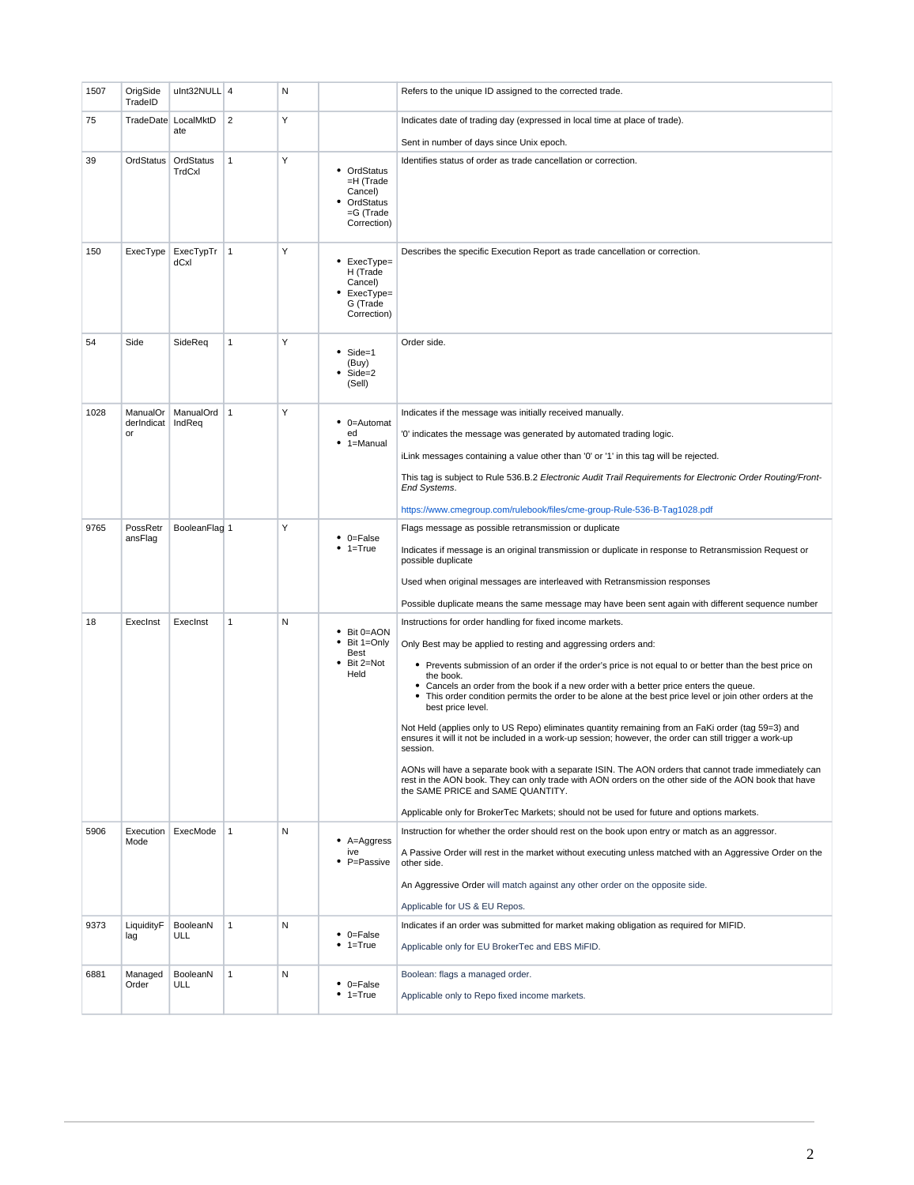| 1507 | OrigSide<br>TradeID | ulnt32NULL 4        |              | N |                                                                              | Refers to the unique ID assigned to the corrected trade.                                                                                                                                                                                            |
|------|---------------------|---------------------|--------------|---|------------------------------------------------------------------------------|-----------------------------------------------------------------------------------------------------------------------------------------------------------------------------------------------------------------------------------------------------|
| 75   |                     | TradeDate LocalMktD | 2            | Υ |                                                                              | Indicates date of trading day (expressed in local time at place of trade).                                                                                                                                                                          |
|      |                     | ate                 |              |   |                                                                              | Sent in number of days since Unix epoch.                                                                                                                                                                                                            |
| 39   | OrdStatus           | OrdStatus<br>TrdCxl | $\mathbf{1}$ | Y | • OrdStatus<br>=H (Trade<br>Cancel)<br>OrdStatus<br>=G (Trade<br>Correction) | Identifies status of order as trade cancellation or correction.                                                                                                                                                                                     |
| 150  | ExecType            | ExecTypTr<br>dCxl   | $\mathbf{1}$ | Υ | • ExecType=<br>H (Trade<br>Cancel)<br>ExecType=<br>G (Trade<br>Correction)   | Describes the specific Execution Report as trade cancellation or correction.                                                                                                                                                                        |
| 54   | Side                | SideReq             | $\mathbf{1}$ | Y | Side=1<br>(Buy)<br>Side=2<br>(Sell)                                          | Order side.                                                                                                                                                                                                                                         |
| 1028 | ManualOr            | ManualOrd 1         |              | Y |                                                                              | Indicates if the message was initially received manually.                                                                                                                                                                                           |
|      | derIndicat<br>or    | IndReq              |              |   | $\bullet$ 0=Automat<br>ed<br>$• 1 =$ Manual                                  | '0' indicates the message was generated by automated trading logic.                                                                                                                                                                                 |
|      |                     |                     |              |   |                                                                              | iLink messages containing a value other than '0' or '1' in this tag will be rejected.                                                                                                                                                               |
|      |                     |                     |              |   |                                                                              | This tag is subject to Rule 536.B.2 Electronic Audit Trail Requirements for Electronic Order Routing/Front-<br>End Systems.                                                                                                                         |
|      |                     |                     |              |   |                                                                              | https://www.cmegroup.com/rulebook/files/cme-group-Rule-536-B-Tag1028.pdf                                                                                                                                                                            |
| 9765 | PossRetr<br>ansFlag | BooleanFlag 1       |              | Υ | $\bullet$ 0=False<br>$1 = True$                                              | Flags message as possible retransmission or duplicate                                                                                                                                                                                               |
|      |                     |                     |              |   |                                                                              | Indicates if message is an original transmission or duplicate in response to Retransmission Request or<br>possible duplicate                                                                                                                        |
|      |                     |                     |              |   |                                                                              | Used when original messages are interleaved with Retransmission responses                                                                                                                                                                           |
|      |                     |                     |              |   |                                                                              | Possible duplicate means the same message may have been sent again with different sequence number                                                                                                                                                   |
| 18   | ExecInst            | ExecInst            | $\mathbf{1}$ | N |                                                                              | Instructions for order handling for fixed income markets.                                                                                                                                                                                           |
|      |                     |                     |              |   | • Bit 0=AON<br>Bit 1=Only<br>Best<br>Bit 2=Not<br>Held                       | Only Best may be applied to resting and aggressing orders and:                                                                                                                                                                                      |
|      |                     |                     |              |   |                                                                              | • Prevents submission of an order if the order's price is not equal to or better than the best price on                                                                                                                                             |
|      |                     |                     |              |   |                                                                              | the book.<br>• Cancels an order from the book if a new order with a better price enters the queue.<br>• This order condition permits the order to be alone at the best price level or join other orders at the<br>best price level.                 |
|      |                     |                     |              |   |                                                                              | Not Held (applies only to US Repo) eliminates quantity remaining from an FaKi order (tag 59=3) and<br>ensures it will it not be included in a work-up session; however, the order can still trigger a work-up<br>session.                           |
|      |                     |                     |              |   |                                                                              | AONs will have a separate book with a separate ISIN. The AON orders that cannot trade immediately can<br>rest in the AON book. They can only trade with AON orders on the other side of the AON book that have<br>the SAME PRICE and SAME QUANTITY. |
|      |                     |                     |              |   |                                                                              | Applicable only for BrokerTec Markets; should not be used for future and options markets.                                                                                                                                                           |
| 5906 | Execution<br>Mode   | ExecMode            | $\mathbf{1}$ | N | $\bullet$ A=Aggress<br>ive<br>P=Passive                                      | Instruction for whether the order should rest on the book upon entry or match as an aggressor.                                                                                                                                                      |
|      |                     |                     |              |   |                                                                              | A Passive Order will rest in the market without executing unless matched with an Aggressive Order on the<br>other side.                                                                                                                             |
|      |                     |                     |              |   |                                                                              | An Aggressive Order will match against any other order on the opposite side.                                                                                                                                                                        |
|      |                     |                     |              |   |                                                                              | Applicable for US & EU Repos.                                                                                                                                                                                                                       |
| 9373 | LiquidityF<br>lag   | BooleanN<br>ULL     | $\mathbf{1}$ | N | $\bullet$ 0=False<br>$• 1 = True$                                            | Indicates if an order was submitted for market making obligation as required for MIFID.                                                                                                                                                             |
|      |                     |                     |              |   |                                                                              | Applicable only for EU BrokerTec and EBS MiFID.                                                                                                                                                                                                     |
| 6881 | Managed             | BooleanN            | $\mathbf{1}$ | N |                                                                              | Boolean: flags a managed order.                                                                                                                                                                                                                     |
|      | Order               | ULL                 |              |   | $\bullet$ 0=False<br>$• 1 = True$                                            | Applicable only to Repo fixed income markets.                                                                                                                                                                                                       |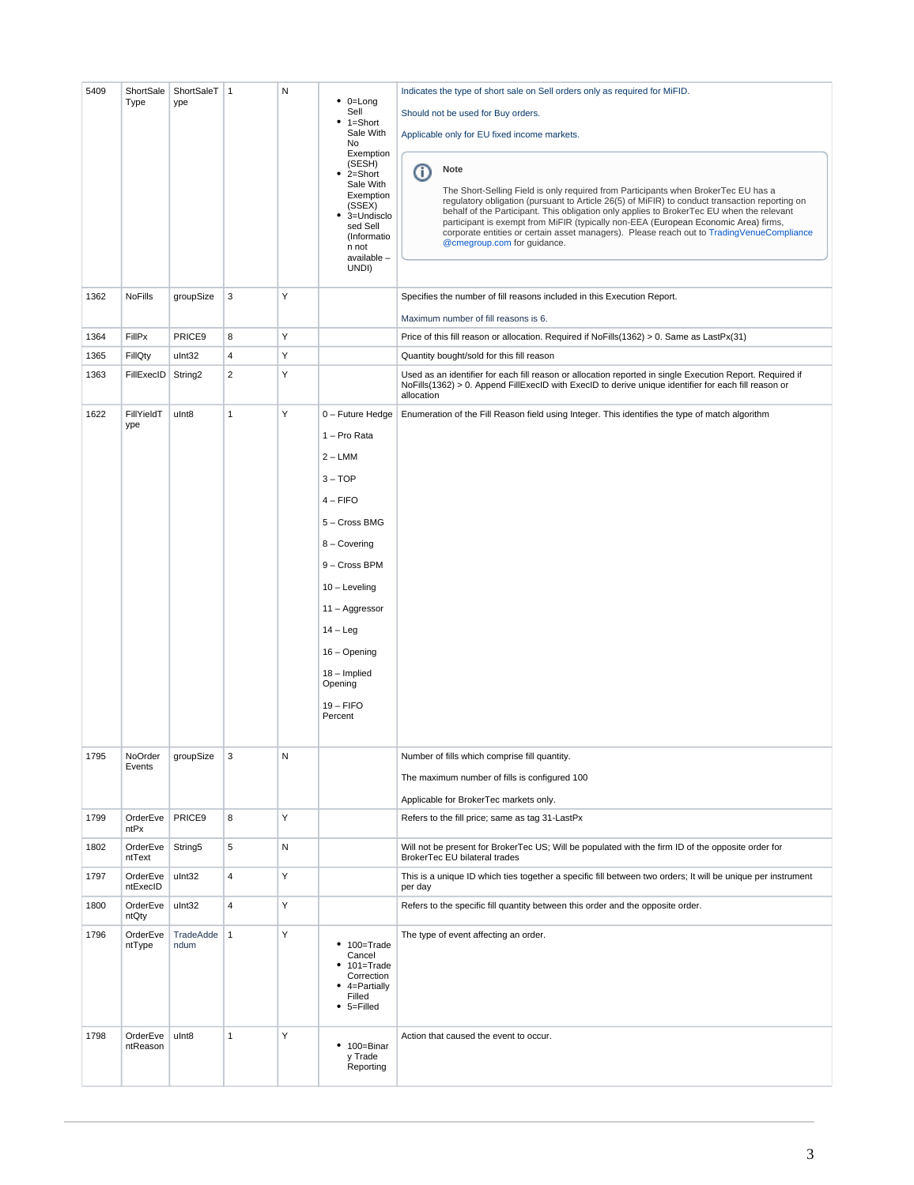| 5409 | ShortSale<br>Type    | ShortSaleT<br>ype | $\vert$ 1      | N | $\bullet$ 0=Long<br>Sell<br>$• 1 = Short$<br>Sale With<br>No<br>Exemption<br>(SESH)<br>2=Short<br>٠<br>Sale With<br>Exemption<br>(SSEX)<br>3=Undisclo<br>٠<br>sed Sell<br>(Informatio<br>n not<br>available -<br>UNDI)                             | Indicates the type of short sale on Sell orders only as required for MiFID.<br>Should not be used for Buy orders.<br>Applicable only for EU fixed income markets.<br>Note<br>⊕<br>The Short-Selling Field is only required from Participants when BrokerTec EU has a<br>regulatory obligation (pursuant to Article 26(5) of MiFIR) to conduct transaction reporting on<br>behalf of the Participant. This obligation only applies to BrokerTec EU when the relevant<br>participant is exempt from MiFIR (typically non-EEA (European Economic Area) firms,<br>corporate entities or certain asset managers). Please reach out to TradingVenueCompliance<br>@cmegroup.com for guidance. |
|------|----------------------|-------------------|----------------|---|----------------------------------------------------------------------------------------------------------------------------------------------------------------------------------------------------------------------------------------------------|----------------------------------------------------------------------------------------------------------------------------------------------------------------------------------------------------------------------------------------------------------------------------------------------------------------------------------------------------------------------------------------------------------------------------------------------------------------------------------------------------------------------------------------------------------------------------------------------------------------------------------------------------------------------------------------|
| 1362 | <b>NoFills</b>       | groupSize         | 3              | Υ |                                                                                                                                                                                                                                                    | Specifies the number of fill reasons included in this Execution Report.<br>Maximum number of fill reasons is 6.                                                                                                                                                                                                                                                                                                                                                                                                                                                                                                                                                                        |
| 1364 | FillPx               | PRICE9            | 8              | Y |                                                                                                                                                                                                                                                    | Price of this fill reason or allocation. Required if $NoFills(1362) > 0$ . Same as LastPx(31)                                                                                                                                                                                                                                                                                                                                                                                                                                                                                                                                                                                          |
| 1365 | FillQty              | ulnt32            | 4              | Υ |                                                                                                                                                                                                                                                    | Quantity bought/sold for this fill reason                                                                                                                                                                                                                                                                                                                                                                                                                                                                                                                                                                                                                                              |
| 1363 | FillExecID           | String2           | $\overline{2}$ | Y |                                                                                                                                                                                                                                                    | Used as an identifier for each fill reason or allocation reported in single Execution Report. Required if<br>NoFills(1362) > 0. Append FillExecID with ExecID to derive unique identifier for each fill reason or<br>allocation                                                                                                                                                                                                                                                                                                                                                                                                                                                        |
| 1622 | FillYieldT<br>ype    | ulnt8             | $\mathbf{1}$   | Υ | 0 - Future Hedge<br>1 - Pro Rata<br>$2 - LMM$<br>$3 - TOP$<br>$4 -$ FIFO<br>5 - Cross BMG<br>8 - Covering<br>9 - Cross BPM<br>$10 -$ Leveling<br>11 - Aggressor<br>$14 - Leg$<br>16 - Opening<br>18 - Implied<br>Opening<br>$19 - FIFO$<br>Percent | Enumeration of the Fill Reason field using Integer. This identifies the type of match algorithm                                                                                                                                                                                                                                                                                                                                                                                                                                                                                                                                                                                        |
| 1795 | NoOrder<br>Events    | groupSize         | 3              | N |                                                                                                                                                                                                                                                    | Number of fills which comprise fill quantity.<br>The maximum number of fills is configured 100<br>Applicable for BrokerTec markets only.                                                                                                                                                                                                                                                                                                                                                                                                                                                                                                                                               |
| 1799 | OrderEve<br>ntPx     | PRICE9            | 8              | Υ |                                                                                                                                                                                                                                                    | Refers to the fill price; same as tag 31-LastPx                                                                                                                                                                                                                                                                                                                                                                                                                                                                                                                                                                                                                                        |
| 1802 | OrderEve<br>ntText   | String5           | 5              | N |                                                                                                                                                                                                                                                    | Will not be present for BrokerTec US; Will be populated with the firm ID of the opposite order for<br>BrokerTec EU bilateral trades                                                                                                                                                                                                                                                                                                                                                                                                                                                                                                                                                    |
| 1797 | OrderEve<br>ntExecID | ulnt32            | 4              | Υ |                                                                                                                                                                                                                                                    | This is a unique ID which ties together a specific fill between two orders; It will be unique per instrument<br>per day                                                                                                                                                                                                                                                                                                                                                                                                                                                                                                                                                                |
| 1800 | OrderEve<br>ntQty    | ulnt32            | 4              | Υ |                                                                                                                                                                                                                                                    | Refers to the specific fill quantity between this order and the opposite order.                                                                                                                                                                                                                                                                                                                                                                                                                                                                                                                                                                                                        |
| 1796 | OrderEve<br>ntType   | TradeAdde<br>ndum | $\mathbf{1}$   | Υ | $• 100 = Trade$<br>Cancel<br>101=Trade<br>۰<br>Correction<br>4=Partially<br>Filled<br>$• 5 =$ Filled                                                                                                                                               | The type of event affecting an order.                                                                                                                                                                                                                                                                                                                                                                                                                                                                                                                                                                                                                                                  |
| 1798 | OrderEve<br>ntReason | ulnt8             | $\mathbf{1}$   | Υ | $• 100 = Binar$<br>y Trade<br>Reporting                                                                                                                                                                                                            | Action that caused the event to occur.                                                                                                                                                                                                                                                                                                                                                                                                                                                                                                                                                                                                                                                 |